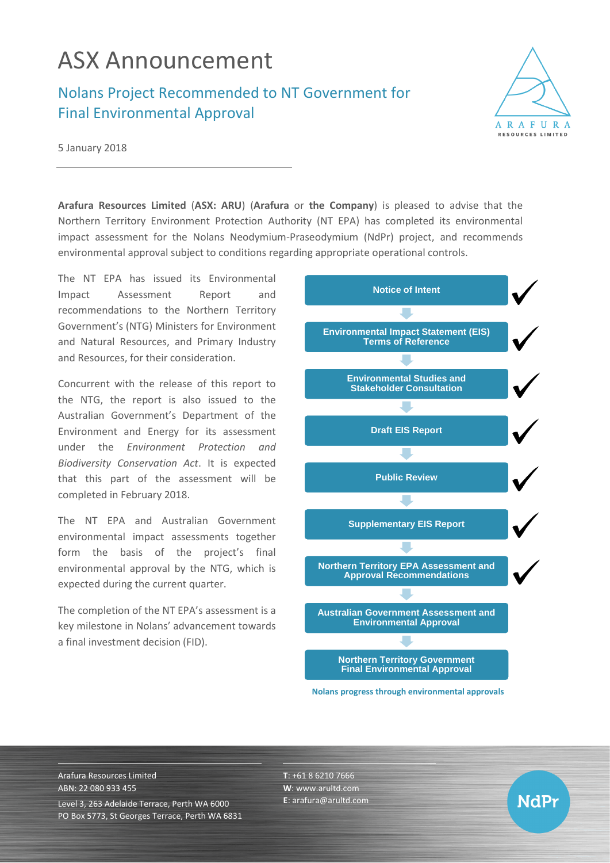## ASX Announcement

Nolans Project Recommended to NT Government for Final Environmental Approval



**NdPr** 

5 January 2018

**Arafura Resources Limited** (**ASX: ARU**) (**Arafura** or **the Company**) is pleased to advise that the Northern Territory Environment Protection Authority (NT EPA) has completed its environmental impact assessment for the Nolans Neodymium-Praseodymium (NdPr) project, and recommends environmental approval subject to conditions regarding appropriate operational controls.

The NT EPA has issued its Environmental Impact Assessment Report and recommendations to the Northern Territory Government's (NTG) Ministers for Environment and Natural Resources, and Primary Industry and Resources, for their consideration.

Concurrent with the release of this report to the NTG, the report is also issued to the Australian Government's Department of the Environment and Energy for its assessment under the *Environment Protection and Biodiversity Conservation Act*. It is expected that this part of the assessment will be completed in February 2018.

The NT EPA and Australian Government environmental impact assessments together form the basis of the project's final environmental approval by the NTG, which is expected during the current quarter.

The completion of the NT EPA's assessment is a key milestone in Nolans' advancement towards a final investment decision (FID).



**Nolans progress through environmental approvals**

Arafura Resources Limited ABN: 22 080 933 455 Level 3, 263 Adelaide Terrace, Perth WA 6000 PO Box 5773, St Georges Terrace, Perth WA 6831 **T**: +61 8 6210 7666 **W**: [www.arultd.com](http://www.arultd.com/) **E**[: arafura@arultd.com](mailto:arafura@arultd.com)